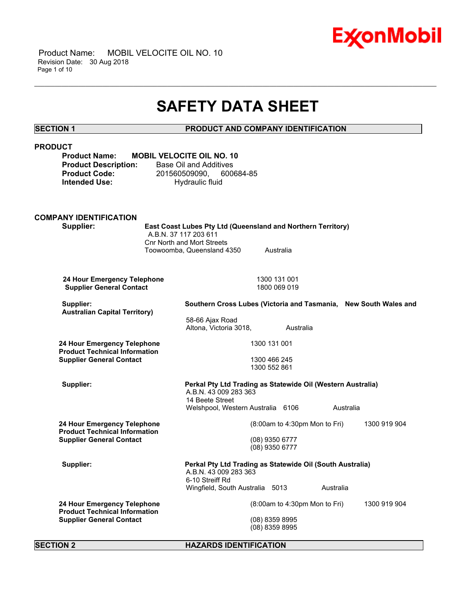

# **SAFETY DATA SHEET**

\_\_\_\_\_\_\_\_\_\_\_\_\_\_\_\_\_\_\_\_\_\_\_\_\_\_\_\_\_\_\_\_\_\_\_\_\_\_\_\_\_\_\_\_\_\_\_\_\_\_\_\_\_\_\_\_\_\_\_\_\_\_\_\_\_\_\_\_\_\_\_\_\_\_\_\_\_\_\_\_\_\_\_\_\_\_\_\_\_\_\_\_\_\_\_\_\_\_\_\_\_\_\_\_\_\_\_\_\_\_\_\_\_\_\_\_\_\_

# **SECTION 1 PRODUCT AND COMPANY IDENTIFICATION**

# **PRODUCT**

| Product Name:               | <b>MOBIL VELOCITE</b> |
|-----------------------------|-----------------------|
| <b>Product Description:</b> | Base Oil and          |
| Product Code:               | 2015605090            |
| Intended Use:               | Hydrau                |

**PDIL NO. 10** d Additives 090, 600684-85 **Inteled** Build

#### **COMPANY IDENTIFICATION Supplier: East Coast Lubes Pty Ltd (Queensland and Northern Territory)** A.B.N. 37 117 203 611 Cnr North and Mort Streets Toowoomba, Queensland 4350 Australia

**24 Hour Emergency Telephone** 1300 131 001<br> **Supplier General Contact** 1800 069 019 **Supplier General Contact** 

| Supplier:<br><b>Australian Capital Territory)</b>                                                      | Southern Cross Lubes (Victoria and Tasmania, New South Wales and                                        |                                 |              |
|--------------------------------------------------------------------------------------------------------|---------------------------------------------------------------------------------------------------------|---------------------------------|--------------|
|                                                                                                        | 58-66 Ajax Road<br>Altona. Victoria 3018.                                                               | Australia                       |              |
| 24 Hour Emergency Telephone<br><b>Product Technical Information</b><br><b>Supplier General Contact</b> | 1300 131 001                                                                                            |                                 |              |
|                                                                                                        | 1300 466 245<br>1300 552 861                                                                            |                                 |              |
| Supplier:                                                                                              | Perkal Pty Ltd Trading as Statewide Oil (Western Australia)<br>A.B.N. 43 009 283 363<br>14 Beete Street |                                 |              |
|                                                                                                        | Welshpool, Western Australia 6106                                                                       |                                 | Australia    |
| 24 Hour Emergency Telephone<br><b>Product Technical Information</b><br><b>Supplier General Contact</b> |                                                                                                         | $(8:00am$ to 4:30pm Mon to Fri) | 1300 919 904 |
|                                                                                                        | (08) 9350 6777<br>(08) 9350 6777                                                                        |                                 |              |
| Supplier:                                                                                              | Perkal Pty Ltd Trading as Statewide Oil (South Australia)<br>A.B.N. 43 009 283 363<br>6-10 Streiff Rd   |                                 |              |
|                                                                                                        | Wingfield, South Australia 5013                                                                         | Australia                       |              |
| 24 Hour Emergency Telephone<br><b>Product Technical Information</b><br><b>Supplier General Contact</b> |                                                                                                         | $(8:00am$ to 4:30pm Mon to Fri) | 1300 919 904 |
|                                                                                                        | $(08)$ 8359 8995<br>(08) 8359 8995                                                                      |                                 |              |
|                                                                                                        |                                                                                                         |                                 |              |

### **SECTION 2 HAZARDS IDENTIFICATION**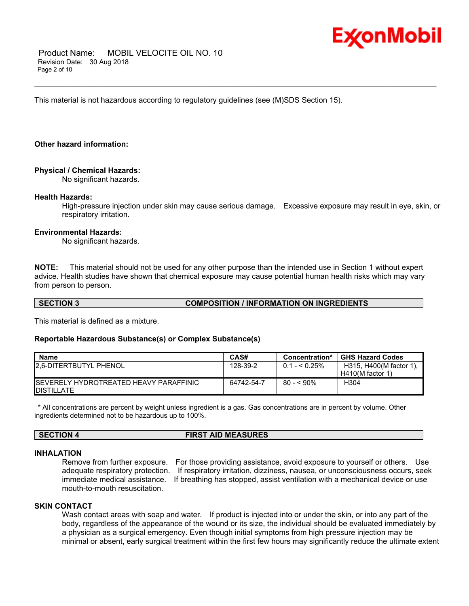

 Product Name: MOBIL VELOCITE OIL NO. 10 Revision Date: 30 Aug 2018 Page 2 of 10

This material is not hazardous according to regulatory guidelines (see (M)SDS Section 15).

### **Other hazard information:**

### **Physical / Chemical Hazards:**

No significant hazards.

#### **Health Hazards:**

High-pressure injection under skin may cause serious damage. Excessive exposure may result in eye, skin, or respiratory irritation.

\_\_\_\_\_\_\_\_\_\_\_\_\_\_\_\_\_\_\_\_\_\_\_\_\_\_\_\_\_\_\_\_\_\_\_\_\_\_\_\_\_\_\_\_\_\_\_\_\_\_\_\_\_\_\_\_\_\_\_\_\_\_\_\_\_\_\_\_\_\_\_\_\_\_\_\_\_\_\_\_\_\_\_\_\_\_\_\_\_\_\_\_\_\_\_\_\_\_\_\_\_\_\_\_\_\_\_\_\_\_\_\_\_\_\_\_\_\_

#### **Environmental Hazards:**

No significant hazards.

**NOTE:** This material should not be used for any other purpose than the intended use in Section 1 without expert advice. Health studies have shown that chemical exposure may cause potential human health risks which may vary from person to person.

# **SECTION 3 COMPOSITION / INFORMATION ON INGREDIENTS**

This material is defined as a mixture.

#### **Reportable Hazardous Substance(s) or Complex Substance(s)**

| <b>Name</b>                                                          | CAS#       | Concentration* | <b>GHS Hazard Codes</b>                       |
|----------------------------------------------------------------------|------------|----------------|-----------------------------------------------|
| <b>12.6-DITERTBUTYL PHENOL</b>                                       | 128-39-2   | $0.1 - 5.25\%$ | H315, H400(M factor 1),<br>$H410(M$ factor 1) |
| <b>ISEVERELY HYDROTREATED HEAVY PARAFFINIC</b><br><b>IDISTILLATE</b> | 64742-54-7 | 80 - < 90%     | H304                                          |

 \* All concentrations are percent by weight unless ingredient is a gas. Gas concentrations are in percent by volume. Other ingredients determined not to be hazardous up to 100%.

### **SECTION 4 FIRST AID MEASURES**

#### **INHALATION**

Remove from further exposure. For those providing assistance, avoid exposure to yourself or others. Use adequate respiratory protection. If respiratory irritation, dizziness, nausea, or unconsciousness occurs, seek immediate medical assistance. If breathing has stopped, assist ventilation with a mechanical device or use mouth-to-mouth resuscitation.

# **SKIN CONTACT**

Wash contact areas with soap and water. If product is injected into or under the skin, or into any part of the body, regardless of the appearance of the wound or its size, the individual should be evaluated immediately by a physician as a surgical emergency. Even though initial symptoms from high pressure injection may be minimal or absent, early surgical treatment within the first few hours may significantly reduce the ultimate extent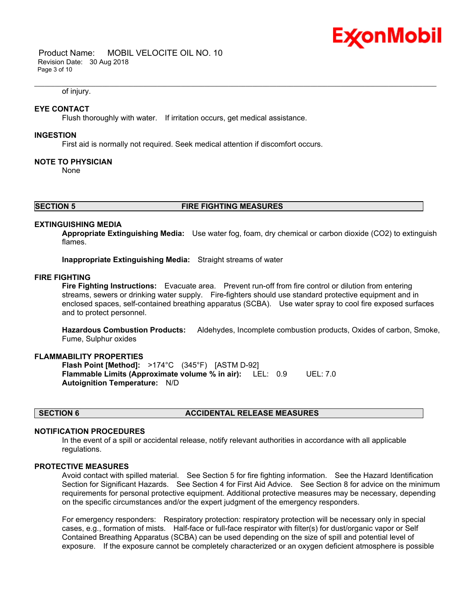

 Product Name: MOBIL VELOCITE OIL NO. 10 Revision Date: 30 Aug 2018 Page 3 of 10

#### of injury.

### **EYE CONTACT**

Flush thoroughly with water. If irritation occurs, get medical assistance.

#### **INGESTION**

First aid is normally not required. Seek medical attention if discomfort occurs.

#### **NOTE TO PHYSICIAN**

None

# **SECTION 5 FIRE FIGHTING MEASURES**

#### **EXTINGUISHING MEDIA**

**Appropriate Extinguishing Media:** Use water fog, foam, dry chemical or carbon dioxide (CO2) to extinguish flames.

\_\_\_\_\_\_\_\_\_\_\_\_\_\_\_\_\_\_\_\_\_\_\_\_\_\_\_\_\_\_\_\_\_\_\_\_\_\_\_\_\_\_\_\_\_\_\_\_\_\_\_\_\_\_\_\_\_\_\_\_\_\_\_\_\_\_\_\_\_\_\_\_\_\_\_\_\_\_\_\_\_\_\_\_\_\_\_\_\_\_\_\_\_\_\_\_\_\_\_\_\_\_\_\_\_\_\_\_\_\_\_\_\_\_\_\_\_\_

**Inappropriate Extinguishing Media:** Straight streams of water

### **FIRE FIGHTING**

**Fire Fighting Instructions:** Evacuate area. Prevent run-off from fire control or dilution from entering streams, sewers or drinking water supply. Fire-fighters should use standard protective equipment and in enclosed spaces, self-contained breathing apparatus (SCBA). Use water spray to cool fire exposed surfaces and to protect personnel.

**Hazardous Combustion Products:** Aldehydes, Incomplete combustion products, Oxides of carbon, Smoke, Fume, Sulphur oxides

#### **FLAMMABILITY PROPERTIES**

**Flash Point [Method]:** >174°C (345°F) [ASTM D-92] **Flammable Limits (Approximate volume % in air):** LEL: 0.9 UEL: 7.0 **Autoignition Temperature:** N/D

# **SECTION 6 ACCIDENTAL RELEASE MEASURES**

#### **NOTIFICATION PROCEDURES**

In the event of a spill or accidental release, notify relevant authorities in accordance with all applicable regulations.

#### **PROTECTIVE MEASURES**

Avoid contact with spilled material. See Section 5 for fire fighting information. See the Hazard Identification Section for Significant Hazards. See Section 4 for First Aid Advice. See Section 8 for advice on the minimum requirements for personal protective equipment. Additional protective measures may be necessary, depending on the specific circumstances and/or the expert judgment of the emergency responders.

For emergency responders: Respiratory protection: respiratory protection will be necessary only in special cases, e.g., formation of mists. Half-face or full-face respirator with filter(s) for dust/organic vapor or Self Contained Breathing Apparatus (SCBA) can be used depending on the size of spill and potential level of exposure. If the exposure cannot be completely characterized or an oxygen deficient atmosphere is possible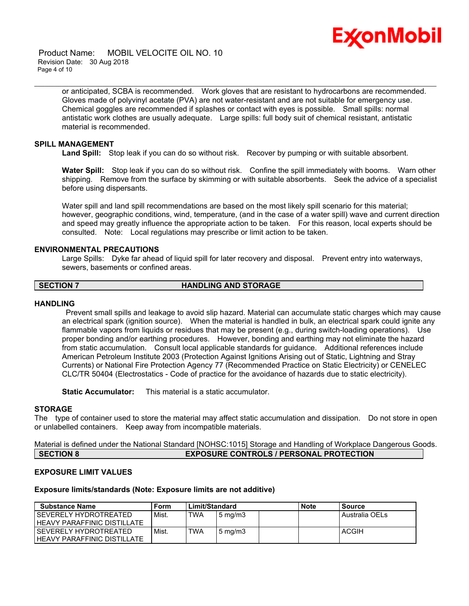

 Product Name: MOBIL VELOCITE OIL NO. 10 Revision Date: 30 Aug 2018 Page 4 of 10

> or anticipated, SCBA is recommended. Work gloves that are resistant to hydrocarbons are recommended. Gloves made of polyvinyl acetate (PVA) are not water-resistant and are not suitable for emergency use. Chemical goggles are recommended if splashes or contact with eyes is possible. Small spills: normal antistatic work clothes are usually adequate. Large spills: full body suit of chemical resistant, antistatic material is recommended.

\_\_\_\_\_\_\_\_\_\_\_\_\_\_\_\_\_\_\_\_\_\_\_\_\_\_\_\_\_\_\_\_\_\_\_\_\_\_\_\_\_\_\_\_\_\_\_\_\_\_\_\_\_\_\_\_\_\_\_\_\_\_\_\_\_\_\_\_\_\_\_\_\_\_\_\_\_\_\_\_\_\_\_\_\_\_\_\_\_\_\_\_\_\_\_\_\_\_\_\_\_\_\_\_\_\_\_\_\_\_\_\_\_\_\_\_\_\_

#### **SPILL MANAGEMENT**

**Land Spill:** Stop leak if you can do so without risk. Recover by pumping or with suitable absorbent.

**Water Spill:** Stop leak if you can do so without risk. Confine the spill immediately with booms. Warn other shipping. Remove from the surface by skimming or with suitable absorbents. Seek the advice of a specialist before using dispersants.

Water spill and land spill recommendations are based on the most likely spill scenario for this material; however, geographic conditions, wind, temperature, (and in the case of a water spill) wave and current direction and speed may greatly influence the appropriate action to be taken. For this reason, local experts should be consulted. Note: Local regulations may prescribe or limit action to be taken.

# **ENVIRONMENTAL PRECAUTIONS**

Large Spills: Dyke far ahead of liquid spill for later recovery and disposal. Prevent entry into waterways, sewers, basements or confined areas.

#### **SECTION 7 HANDLING AND STORAGE**

#### **HANDLING**

 Prevent small spills and leakage to avoid slip hazard. Material can accumulate static charges which may cause an electrical spark (ignition source). When the material is handled in bulk, an electrical spark could ignite any flammable vapors from liquids or residues that may be present (e.g., during switch-loading operations). Use proper bonding and/or earthing procedures. However, bonding and earthing may not eliminate the hazard from static accumulation. Consult local applicable standards for guidance. Additional references include American Petroleum Institute 2003 (Protection Against Ignitions Arising out of Static, Lightning and Stray Currents) or National Fire Protection Agency 77 (Recommended Practice on Static Electricity) or CENELEC CLC/TR 50404 (Electrostatics - Code of practice for the avoidance of hazards due to static electricity).

**Static Accumulator:** This material is a static accumulator.

# **STORAGE**

The type of container used to store the material may affect static accumulation and dissipation. Do not store in open or unlabelled containers. Keep away from incompatible materials.

Material is defined under the National Standard [NOHSC:1015] Storage and Handling of Workplace Dangerous Goods. **SECTION 8 EXPOSURE CONTROLS / PERSONAL PROTECTION**

# **EXPOSURE LIMIT VALUES**

### **Exposure limits/standards (Note: Exposure limits are not additive)**

| <b>Substance Name</b>              | Form  | Limit/Standard |                  | <b>Note</b> | Source         |
|------------------------------------|-------|----------------|------------------|-------------|----------------|
| I SEVERELY HYDROTREATED            | Mist. | <b>TWA</b>     | $5 \text{ mg/m}$ |             | Australia OELs |
| HEAVY PARAFFINIC DISTILLATE        |       |                |                  |             |                |
| l SEVERELY HYDROTREATED            | Mist. | TWA            | $5 \text{ mg/m}$ |             | ACGIH          |
| <b>HEAVY PARAFFINIC DISTILLATE</b> |       |                |                  |             |                |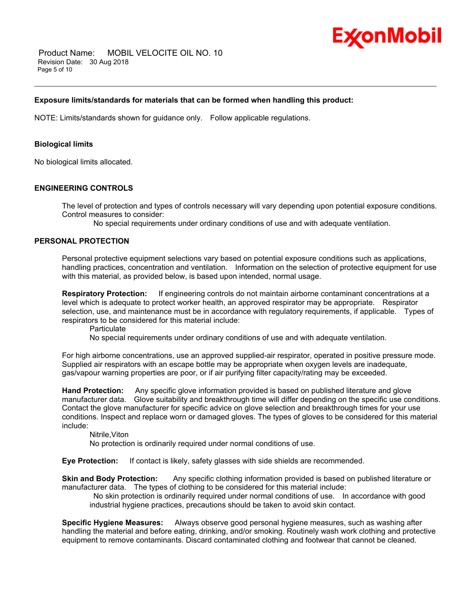

 Product Name: MOBIL VELOCITE OIL NO. 10 Revision Date: 30 Aug 2018 Page 5 of 10

# **Exposure limits/standards for materials that can be formed when handling this product:**

NOTE: Limits/standards shown for guidance only. Follow applicable regulations.

### **Biological limits**

No biological limits allocated.

### **ENGINEERING CONTROLS**

The level of protection and types of controls necessary will vary depending upon potential exposure conditions. Control measures to consider:

\_\_\_\_\_\_\_\_\_\_\_\_\_\_\_\_\_\_\_\_\_\_\_\_\_\_\_\_\_\_\_\_\_\_\_\_\_\_\_\_\_\_\_\_\_\_\_\_\_\_\_\_\_\_\_\_\_\_\_\_\_\_\_\_\_\_\_\_\_\_\_\_\_\_\_\_\_\_\_\_\_\_\_\_\_\_\_\_\_\_\_\_\_\_\_\_\_\_\_\_\_\_\_\_\_\_\_\_\_\_\_\_\_\_\_\_\_\_

No special requirements under ordinary conditions of use and with adequate ventilation.

# **PERSONAL PROTECTION**

Personal protective equipment selections vary based on potential exposure conditions such as applications, handling practices, concentration and ventilation. Information on the selection of protective equipment for use with this material, as provided below, is based upon intended, normal usage.

**Respiratory Protection:** If engineering controls do not maintain airborne contaminant concentrations at a level which is adequate to protect worker health, an approved respirator may be appropriate. Respirator selection, use, and maintenance must be in accordance with regulatory requirements, if applicable. Types of respirators to be considered for this material include:

**Particulate** 

No special requirements under ordinary conditions of use and with adequate ventilation.

For high airborne concentrations, use an approved supplied-air respirator, operated in positive pressure mode. Supplied air respirators with an escape bottle may be appropriate when oxygen levels are inadequate, gas/vapour warning properties are poor, or if air purifying filter capacity/rating may be exceeded.

**Hand Protection:** Any specific glove information provided is based on published literature and glove manufacturer data. Glove suitability and breakthrough time will differ depending on the specific use conditions. Contact the glove manufacturer for specific advice on glove selection and breakthrough times for your use conditions. Inspect and replace worn or damaged gloves. The types of gloves to be considered for this material include:

Nitrile,Viton

No protection is ordinarily required under normal conditions of use.

**Eye Protection:** If contact is likely, safety glasses with side shields are recommended.

**Skin and Body Protection:** Any specific clothing information provided is based on published literature or manufacturer data. The types of clothing to be considered for this material include:

 No skin protection is ordinarily required under normal conditions of use. In accordance with good industrial hygiene practices, precautions should be taken to avoid skin contact.

**Specific Hygiene Measures:** Always observe good personal hygiene measures, such as washing after handling the material and before eating, drinking, and/or smoking. Routinely wash work clothing and protective equipment to remove contaminants. Discard contaminated clothing and footwear that cannot be cleaned.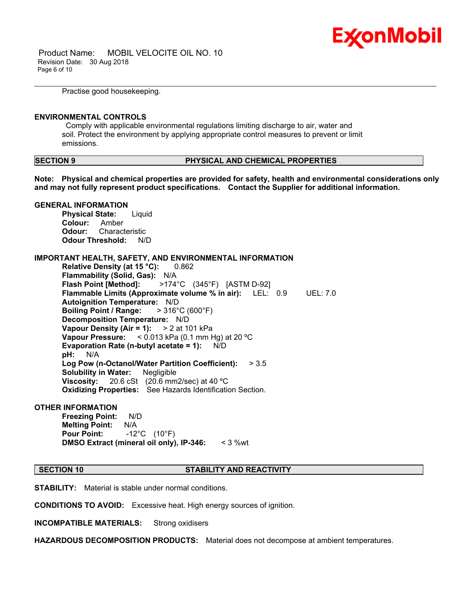

 Product Name: MOBIL VELOCITE OIL NO. 10 Revision Date: 30 Aug 2018 Page 6 of 10

Practise good housekeeping.

#### **ENVIRONMENTAL CONTROLS**

 Comply with applicable environmental regulations limiting discharge to air, water and soil. Protect the environment by applying appropriate control measures to prevent or limit emissions.

# **SECTION 9 PHYSICAL AND CHEMICAL PROPERTIES**

**Note: Physical and chemical properties are provided for safety, health and environmental considerations only and may not fully represent product specifications. Contact the Supplier for additional information.**

\_\_\_\_\_\_\_\_\_\_\_\_\_\_\_\_\_\_\_\_\_\_\_\_\_\_\_\_\_\_\_\_\_\_\_\_\_\_\_\_\_\_\_\_\_\_\_\_\_\_\_\_\_\_\_\_\_\_\_\_\_\_\_\_\_\_\_\_\_\_\_\_\_\_\_\_\_\_\_\_\_\_\_\_\_\_\_\_\_\_\_\_\_\_\_\_\_\_\_\_\_\_\_\_\_\_\_\_\_\_\_\_\_\_\_\_\_\_

### **GENERAL INFORMATION**

**Physical State:** Liquid **Colour:** Amber **Odour:** Characteristic **Odour Threshold:** N/D

### **IMPORTANT HEALTH, SAFETY, AND ENVIRONMENTAL INFORMATION**

**Relative Density (at 15 °C):** 0.862 **Flammability (Solid, Gas):** N/A **Flash Point [Method]:** >174°C (345°F) [ASTM D-92] **Flammable Limits (Approximate volume % in air):** LEL: 0.9 UEL: 7.0 **Autoignition Temperature:** N/D **Boiling Point / Range:** > 316°C (600°F) **Decomposition Temperature:** N/D **Vapour Density (Air = 1):** > 2 at 101 kPa **Vapour Pressure:** < 0.013 kPa (0.1 mm Hg) at 20 ºC **Evaporation Rate (n-butyl acetate = 1):** N/D **pH:** N/A **Log Pow (n-Octanol/Water Partition Coefficient):** > 3.5 **Solubility in Water:** Negligible **Viscosity:** 20.6 cSt (20.6 mm2/sec) at 40 ºC **Oxidizing Properties:** See Hazards Identification Section.

#### **OTHER INFORMATION**

**Freezing Point:** N/D **Melting Point:** N/A **Pour Point:** -12°C (10°F) **DMSO Extract (mineral oil only), IP-346:** < 3 %wt

#### **SECTION 10 STABILITY AND REACTIVITY**

**STABILITY:** Material is stable under normal conditions.

**CONDITIONS TO AVOID:** Excessive heat. High energy sources of ignition.

**INCOMPATIBLE MATERIALS:** Strong oxidisers

**HAZARDOUS DECOMPOSITION PRODUCTS:** Material does not decompose at ambient temperatures.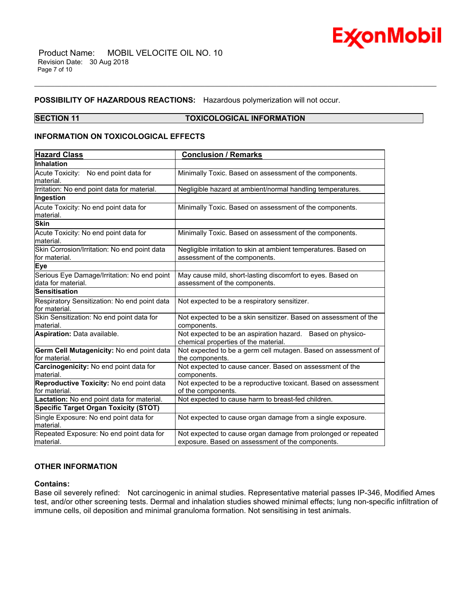

#### **POSSIBILITY OF HAZARDOUS REACTIONS:** Hazardous polymerization will not occur.

# **SECTION 11 TOXICOLOGICAL INFORMATION**

\_\_\_\_\_\_\_\_\_\_\_\_\_\_\_\_\_\_\_\_\_\_\_\_\_\_\_\_\_\_\_\_\_\_\_\_\_\_\_\_\_\_\_\_\_\_\_\_\_\_\_\_\_\_\_\_\_\_\_\_\_\_\_\_\_\_\_\_\_\_\_\_\_\_\_\_\_\_\_\_\_\_\_\_\_\_\_\_\_\_\_\_\_\_\_\_\_\_\_\_\_\_\_\_\_\_\_\_\_\_\_\_\_\_\_\_\_\_

# **INFORMATION ON TOXICOLOGICAL EFFECTS**

| <b>Hazard Class</b>                                               | <b>Conclusion / Remarks</b>                                                                                       |
|-------------------------------------------------------------------|-------------------------------------------------------------------------------------------------------------------|
| Inhalation                                                        |                                                                                                                   |
| Acute Toxicity: No end point data for<br>material.                | Minimally Toxic. Based on assessment of the components.                                                           |
| Irritation: No end point data for material.                       | Negligible hazard at ambient/normal handling temperatures.                                                        |
| Ingestion                                                         |                                                                                                                   |
| Acute Toxicity: No end point data for<br>material.                | Minimally Toxic. Based on assessment of the components.                                                           |
| <b>Skin</b>                                                       |                                                                                                                   |
| Acute Toxicity: No end point data for<br>material.                | Minimally Toxic. Based on assessment of the components.                                                           |
| Skin Corrosion/Irritation: No end point data<br>for material.     | Negligible irritation to skin at ambient temperatures. Based on<br>assessment of the components.                  |
| Eye                                                               |                                                                                                                   |
| Serious Eye Damage/Irritation: No end point<br>data for material. | May cause mild, short-lasting discomfort to eyes. Based on<br>assessment of the components.                       |
| <b>Sensitisation</b>                                              |                                                                                                                   |
| Respiratory Sensitization: No end point data<br>for material.     | Not expected to be a respiratory sensitizer.                                                                      |
| Skin Sensitization: No end point data for<br>material.            | Not expected to be a skin sensitizer. Based on assessment of the<br>components.                                   |
| Aspiration: Data available.                                       | Not expected to be an aspiration hazard. Based on physico-<br>chemical properties of the material.                |
| Germ Cell Mutagenicity: No end point data<br>for material.        | Not expected to be a germ cell mutagen. Based on assessment of<br>the components.                                 |
| Carcinogenicity: No end point data for<br>material.               | Not expected to cause cancer. Based on assessment of the<br>components.                                           |
| Reproductive Toxicity: No end point data<br>for material.         | Not expected to be a reproductive toxicant. Based on assessment<br>of the components.                             |
| Lactation: No end point data for material.                        | Not expected to cause harm to breast-fed children.                                                                |
| <b>Specific Target Organ Toxicity (STOT)</b>                      |                                                                                                                   |
| Single Exposure: No end point data for<br>material.               | Not expected to cause organ damage from a single exposure.                                                        |
| Repeated Exposure: No end point data for<br>material.             | Not expected to cause organ damage from prolonged or repeated<br>exposure. Based on assessment of the components. |

# **OTHER INFORMATION**

# **Contains:**

Base oil severely refined: Not carcinogenic in animal studies. Representative material passes IP-346, Modified Ames test, and/or other screening tests. Dermal and inhalation studies showed minimal effects; lung non-specific infiltration of immune cells, oil deposition and minimal granuloma formation. Not sensitising in test animals.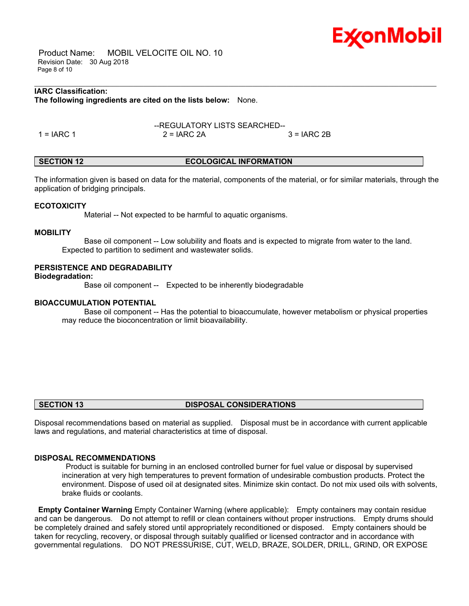

 Product Name: MOBIL VELOCITE OIL NO. 10 Revision Date: 30 Aug 2018 Page 8 of 10

# **IARC Classification:**

**The following ingredients are cited on the lists below:** None.

--REGULATORY LISTS SEARCHED--  $1 = IARC 1$   $2 = IARC 2A$   $3 = IARC 2B$ 

### **SECTION 12 ECOLOGICAL INFORMATION**

The information given is based on data for the material, components of the material, or for similar materials, through the application of bridging principals.

\_\_\_\_\_\_\_\_\_\_\_\_\_\_\_\_\_\_\_\_\_\_\_\_\_\_\_\_\_\_\_\_\_\_\_\_\_\_\_\_\_\_\_\_\_\_\_\_\_\_\_\_\_\_\_\_\_\_\_\_\_\_\_\_\_\_\_\_\_\_\_\_\_\_\_\_\_\_\_\_\_\_\_\_\_\_\_\_\_\_\_\_\_\_\_\_\_\_\_\_\_\_\_\_\_\_\_\_\_\_\_\_\_\_\_\_\_\_

#### **ECOTOXICITY**

Material -- Not expected to be harmful to aquatic organisms.

#### **MOBILITY**

 Base oil component -- Low solubility and floats and is expected to migrate from water to the land. Expected to partition to sediment and wastewater solids.

#### **PERSISTENCE AND DEGRADABILITY**

**Biodegradation:**

Base oil component -- Expected to be inherently biodegradable

#### **BIOACCUMULATION POTENTIAL**

 Base oil component -- Has the potential to bioaccumulate, however metabolism or physical properties may reduce the bioconcentration or limit bioavailability.

### **SECTION 13 DISPOSAL CONSIDERATIONS**

Disposal recommendations based on material as supplied. Disposal must be in accordance with current applicable laws and regulations, and material characteristics at time of disposal.

### **DISPOSAL RECOMMENDATIONS**

 Product is suitable for burning in an enclosed controlled burner for fuel value or disposal by supervised incineration at very high temperatures to prevent formation of undesirable combustion products. Protect the environment. Dispose of used oil at designated sites. Minimize skin contact. Do not mix used oils with solvents, brake fluids or coolants.

**Empty Container Warning** Empty Container Warning (where applicable): Empty containers may contain residue and can be dangerous. Do not attempt to refill or clean containers without proper instructions. Empty drums should be completely drained and safely stored until appropriately reconditioned or disposed. Empty containers should be taken for recycling, recovery, or disposal through suitably qualified or licensed contractor and in accordance with governmental regulations. DO NOT PRESSURISE, CUT, WELD, BRAZE, SOLDER, DRILL, GRIND, OR EXPOSE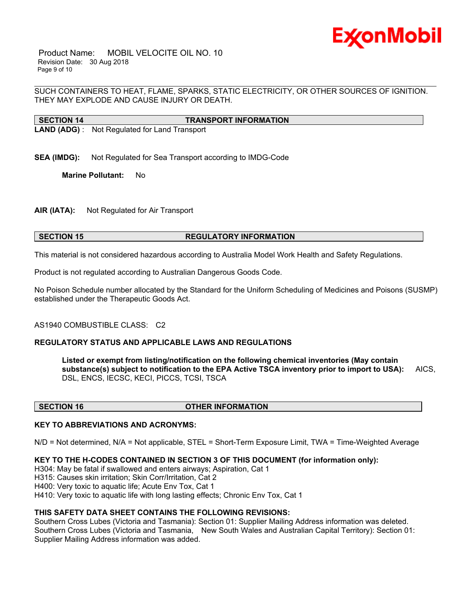

 Product Name: MOBIL VELOCITE OIL NO. 10 Revision Date: 30 Aug 2018 Page 9 of 10

\_\_\_\_\_\_\_\_\_\_\_\_\_\_\_\_\_\_\_\_\_\_\_\_\_\_\_\_\_\_\_\_\_\_\_\_\_\_\_\_\_\_\_\_\_\_\_\_\_\_\_\_\_\_\_\_\_\_\_\_\_\_\_\_\_\_\_\_\_\_\_\_\_\_\_\_\_\_\_\_\_\_\_\_\_\_\_\_\_\_\_\_\_\_\_\_\_\_\_\_\_\_\_\_\_\_\_\_\_\_\_\_\_\_\_\_\_\_ SUCH CONTAINERS TO HEAT, FLAME, SPARKS, STATIC ELECTRICITY, OR OTHER SOURCES OF IGNITION. THEY MAY EXPLODE AND CAUSE INJURY OR DEATH.

**SECTION 14 TRANSPORT INFORMATION LAND (ADG)** : Not Regulated for Land Transport

**SEA (IMDG):** Not Regulated for Sea Transport according to IMDG-Code

**Marine Pollutant:** No

**AIR (IATA):** Not Regulated for Air Transport

# **SECTION 15 REGULATORY INFORMATION**

This material is not considered hazardous according to Australia Model Work Health and Safety Regulations.

Product is not regulated according to Australian Dangerous Goods Code.

No Poison Schedule number allocated by the Standard for the Uniform Scheduling of Medicines and Poisons (SUSMP) established under the Therapeutic Goods Act.

#### AS1940 COMBUSTIBLE CLASS: C2

# **REGULATORY STATUS AND APPLICABLE LAWS AND REGULATIONS**

**Listed or exempt from listing/notification on the following chemical inventories (May contain substance(s) subject to notification to the EPA Active TSCA inventory prior to import to USA):** AICS, DSL, ENCS, IECSC, KECI, PICCS, TCSI, TSCA

#### **SECTION 16 OTHER INFORMATION**

# **KEY TO ABBREVIATIONS AND ACRONYMS:**

N/D = Not determined, N/A = Not applicable, STEL = Short-Term Exposure Limit, TWA = Time-Weighted Average

#### **KEY TO THE H-CODES CONTAINED IN SECTION 3 OF THIS DOCUMENT (for information only):**

H304: May be fatal if swallowed and enters airways; Aspiration, Cat 1

H315: Causes skin irritation; Skin Corr/Irritation, Cat 2

H400: Very toxic to aquatic life; Acute Env Tox, Cat 1

H410: Very toxic to aquatic life with long lasting effects; Chronic Env Tox, Cat 1

#### **THIS SAFETY DATA SHEET CONTAINS THE FOLLOWING REVISIONS:**

Southern Cross Lubes (Victoria and Tasmania): Section 01: Supplier Mailing Address information was deleted. Southern Cross Lubes (Victoria and Tasmania, New South Wales and Australian Capital Territory): Section 01: Supplier Mailing Address information was added.